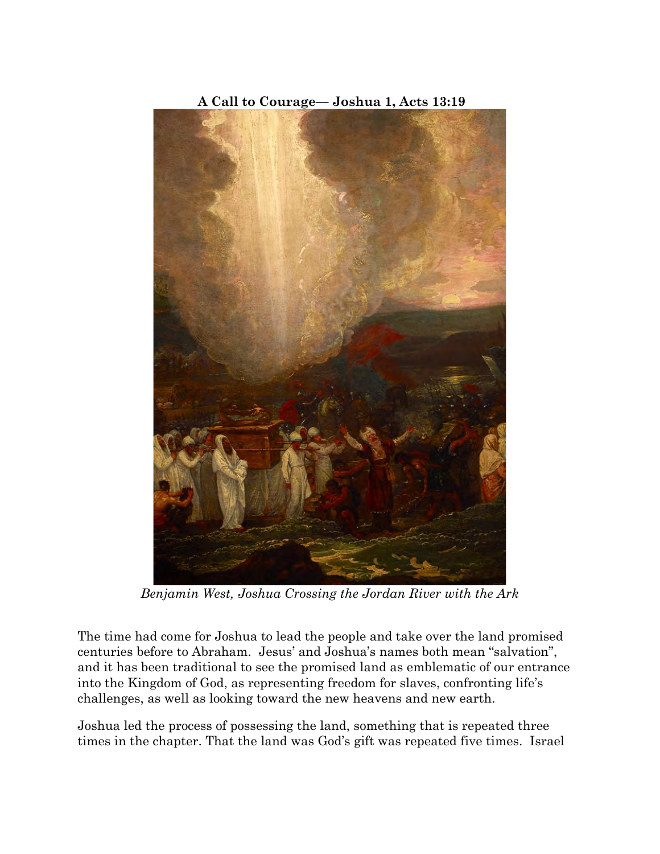

**A Call to Courage–– Joshua 1, Acts 13:19**

*Benjamin West, Joshua Crossing the Jordan River with the Ark*

The time had come for Joshua to lead the people and take over the land promised centuries before to Abraham. Jesus' and Joshua's names both mean "salvation", and it has been traditional to see the promised land as emblematic of our entrance into the Kingdom of God, as representing freedom for slaves, confronting life's challenges, as well as looking toward the new heavens and new earth.

Joshua led the process of possessing the land, something that is repeated three times in the chapter. That the land was God's gift was repeated five times. Israel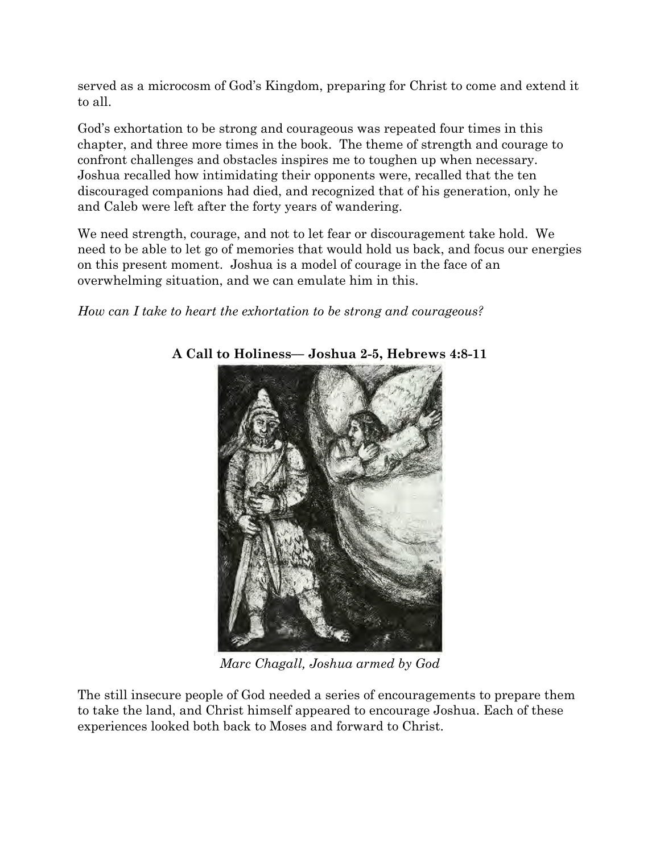served as a microcosm of God's Kingdom, preparing for Christ to come and extend it to all.

God's exhortation to be strong and courageous was repeated four times in this chapter, and three more times in the book. The theme of strength and courage to confront challenges and obstacles inspires me to toughen up when necessary. Joshua recalled how intimidating their opponents were, recalled that the ten discouraged companions had died, and recognized that of his generation, only he and Caleb were left after the forty years of wandering.

We need strength, courage, and not to let fear or discouragement take hold. We need to be able to let go of memories that would hold us back, and focus our energies on this present moment. Joshua is a model of courage in the face of an overwhelming situation, and we can emulate him in this.

# *How can I take to heart the exhortation to be strong and courageous?*



# **A Call to Holiness–– Joshua 2-5, Hebrews 4:8-11**

*Marc Chagall, Joshua armed by God*

The still insecure people of God needed a series of encouragements to prepare them to take the land, and Christ himself appeared to encourage Joshua. Each of these experiences looked both back to Moses and forward to Christ.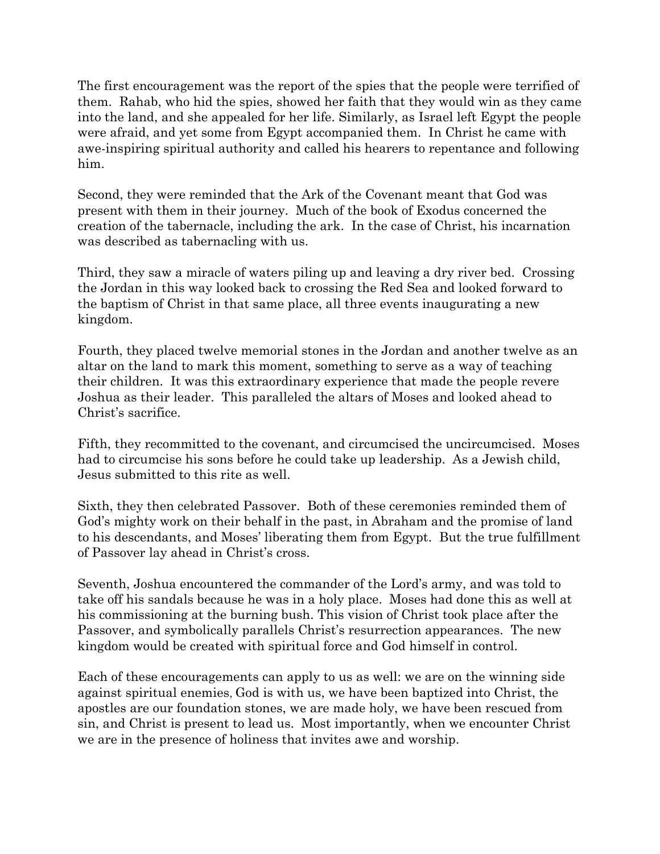The first encouragement was the report of the spies that the people were terrified of them. Rahab, who hid the spies, showed her faith that they would win as they came into the land, and she appealed for her life. Similarly, as Israel left Egypt the people were afraid, and yet some from Egypt accompanied them. In Christ he came with awe-inspiring spiritual authority and called his hearers to repentance and following him.

Second, they were reminded that the Ark of the Covenant meant that God was present with them in their journey. Much of the book of Exodus concerned the creation of the tabernacle, including the ark. In the case of Christ, his incarnation was described as tabernacling with us.

Third, they saw a miracle of waters piling up and leaving a dry river bed. Crossing the Jordan in this way looked back to crossing the Red Sea and looked forward to the baptism of Christ in that same place, all three events inaugurating a new kingdom.

Fourth, they placed twelve memorial stones in the Jordan and another twelve as an altar on the land to mark this moment, something to serve as a way of teaching their children. It was this extraordinary experience that made the people revere Joshua as their leader. This paralleled the altars of Moses and looked ahead to Christ's sacrifice.

Fifth, they recommitted to the covenant, and circumcised the uncircumcised. Moses had to circumcise his sons before he could take up leadership. As a Jewish child, Jesus submitted to this rite as well.

Sixth, they then celebrated Passover. Both of these ceremonies reminded them of God's mighty work on their behalf in the past, in Abraham and the promise of land to his descendants, and Moses' liberating them from Egypt. But the true fulfillment of Passover lay ahead in Christ's cross.

Seventh, Joshua encountered the commander of the Lord's army, and was told to take off his sandals because he was in a holy place. Moses had done this as well at his commissioning at the burning bush. This vision of Christ took place after the Passover, and symbolically parallels Christ's resurrection appearances. The new kingdom would be created with spiritual force and God himself in control.

Each of these encouragements can apply to us as well: we are on the winning side against spiritual enemies, God is with us, we have been baptized into Christ, the apostles are our foundation stones, we are made holy, we have been rescued from sin, and Christ is present to lead us. Most importantly, when we encounter Christ we are in the presence of holiness that invites awe and worship.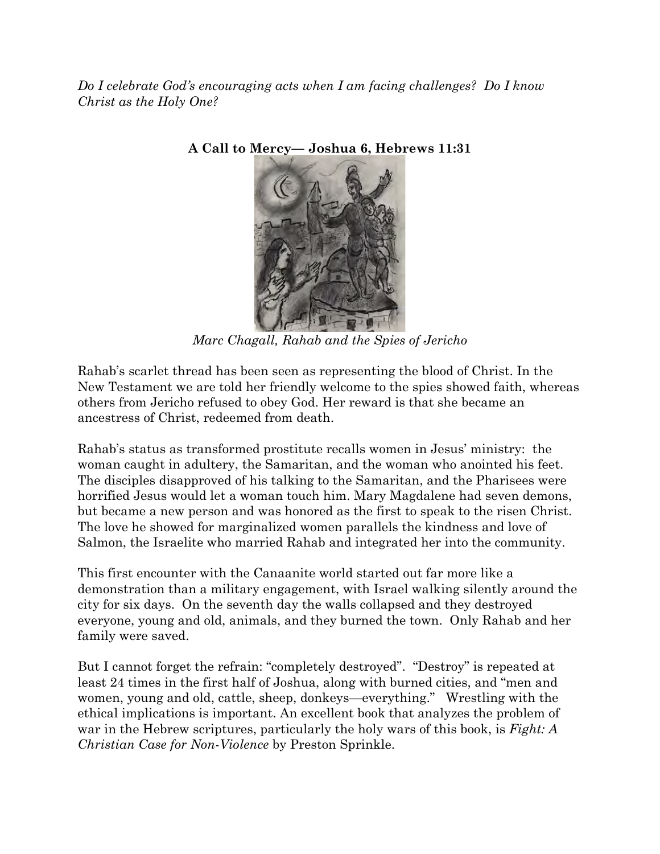*Do I celebrate God's encouraging acts when I am facing challenges? Do I know Christ as the Holy One?*



**A Call to Mercy–– Joshua 6, Hebrews 11:31**

*Marc Chagall, Rahab and the Spies of Jericho*

Rahab's scarlet thread has been seen as representing the blood of Christ. In the New Testament we are told her friendly welcome to the spies showed faith, whereas others from Jericho refused to obey God. Her reward is that she became an ancestress of Christ, redeemed from death.

Rahab's status as transformed prostitute recalls women in Jesus' ministry: the woman caught in adultery, the Samaritan, and the woman who anointed his feet. The disciples disapproved of his talking to the Samaritan, and the Pharisees were horrified Jesus would let a woman touch him. Mary Magdalene had seven demons, but became a new person and was honored as the first to speak to the risen Christ. The love he showed for marginalized women parallels the kindness and love of Salmon, the Israelite who married Rahab and integrated her into the community.

This first encounter with the Canaanite world started out far more like a demonstration than a military engagement, with Israel walking silently around the city for six days. On the seventh day the walls collapsed and they destroyed everyone, young and old, animals, and they burned the town. Only Rahab and her family were saved.

But I cannot forget the refrain: "completely destroyed". "Destroy" is repeated at least 24 times in the first half of Joshua, along with burned cities, and "men and women, young and old, cattle, sheep, donkeys—everything." Wrestling with the ethical implications is important. An excellent book that analyzes the problem of war in the Hebrew scriptures, particularly the holy wars of this book, is *Fight: A Christian Case for Non-Violence* by Preston Sprinkle.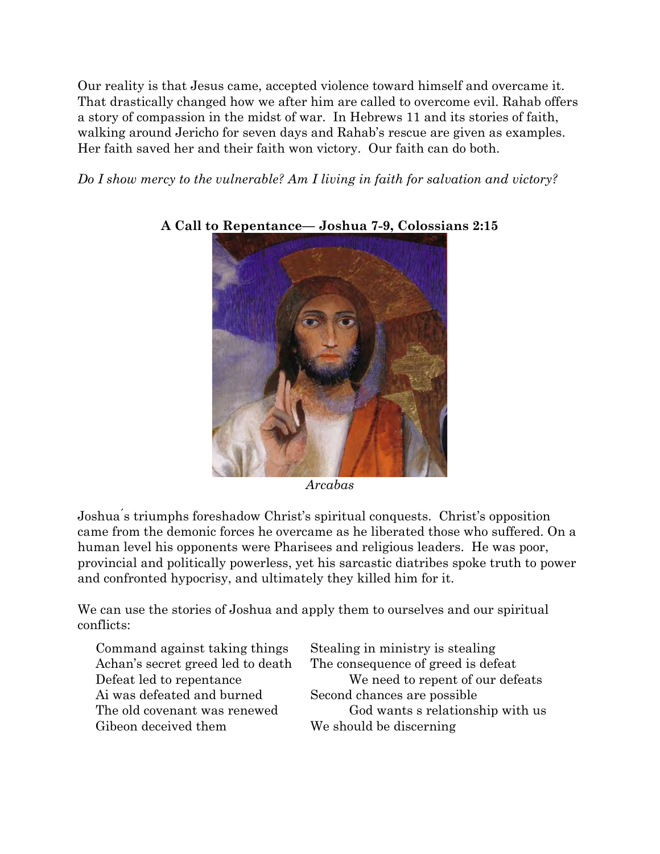Our reality is that Jesus came, accepted violence toward himself and overcame it. That drastically changed how we after him are called to overcome evil. Rahab offers a story of compassion in the midst of war. In Hebrews 11 and its stories of faith, walking around Jericho for seven days and Rahab's rescue are given as examples. Her faith saved her and their faith won victory. Our faith can do both.

*Do I show mercy to the vulnerable? Am I living in faith for salvation and victory?*



#### **A Call to Repentance–– Joshua 7-9, Colossians 2:15**

*Arcabas*

Joshua ́s triumphs foreshadow Christ's spiritual conquests. Christ's opposition came from the demonic forces he overcame as he liberated those who suffered. On a human level his opponents were Pharisees and religious leaders. He was poor, provincial and politically powerless, yet his sarcastic diatribes spoke truth to power and confronted hypocrisy, and ultimately they killed him for it.

We can use the stories of Joshua and apply them to ourselves and our spiritual conflicts:

 Command against taking things Stealing in ministry is stealing Ai was defeated and burned Second chances are possible Gibeon deceived them We should be discerning

Achan's secret greed led to death The consequence of greed is defeat Defeat led to repentance We need to repent of our defeats The old covenant was renewed God wants s relationship with us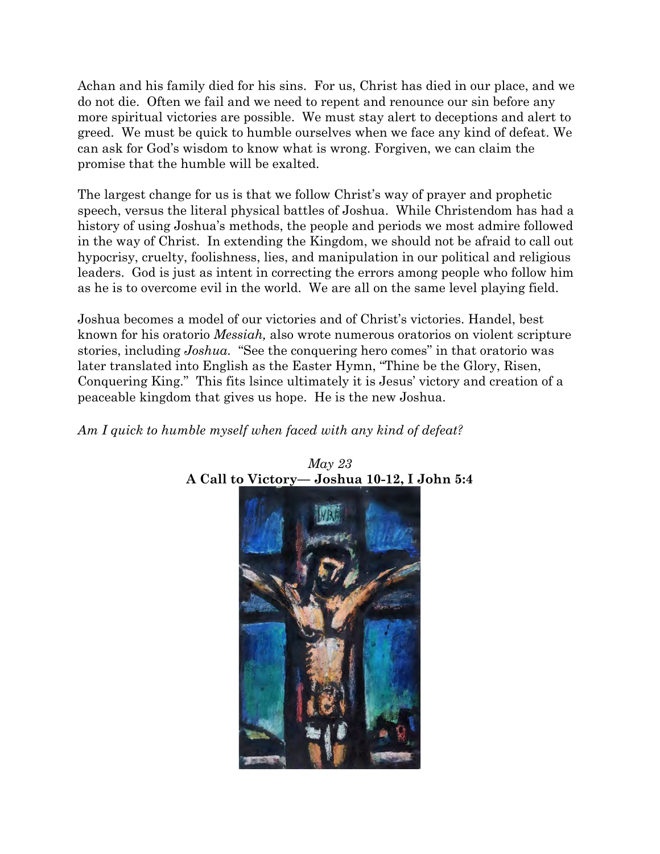Achan and his family died for his sins. For us, Christ has died in our place, and we do not die. Often we fail and we need to repent and renounce our sin before any more spiritual victories are possible. We must stay alert to deceptions and alert to greed. We must be quick to humble ourselves when we face any kind of defeat. We can ask for God's wisdom to know what is wrong. Forgiven, we can claim the promise that the humble will be exalted.

The largest change for us is that we follow Christ's way of prayer and prophetic speech, versus the literal physical battles of Joshua. While Christendom has had a history of using Joshua's methods, the people and periods we most admire followed in the way of Christ. In extending the Kingdom, we should not be afraid to call out hypocrisy, cruelty, foolishness, lies, and manipulation in our political and religious leaders. God is just as intent in correcting the errors among people who follow him as he is to overcome evil in the world. We are all on the same level playing field.

Joshua becomes a model of our victories and of Christ's victories. Handel, best known for his oratorio *Messiah,* also wrote numerous oratorios on violent scripture stories, including *Joshua.* "See the conquering hero comes" in that oratorio was later translated into English as the Easter Hymn, "Thine be the Glory, Risen, Conquering King." This fits lsince ultimately it is Jesus' victory and creation of a peaceable kingdom that gives us hope. He is the new Joshua.

## *Am I quick to humble myself when faced with any kind of defeat?*



#### *May 23* **A Call to Victory–– Joshua 10-12, I John 5:4**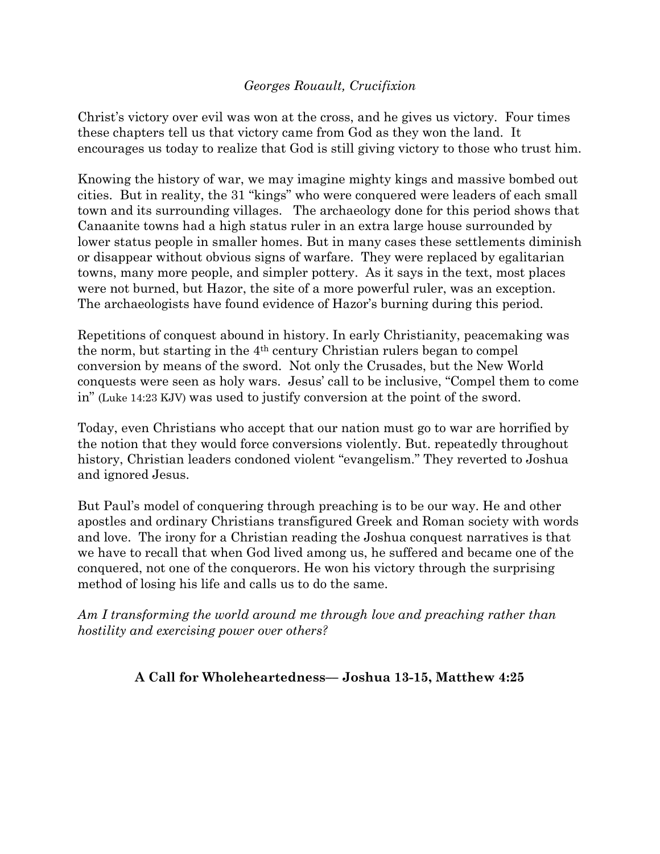## *Georges Rouault, Crucifixion*

Christ's victory over evil was won at the cross, and he gives us victory. Four times these chapters tell us that victory came from God as they won the land. It encourages us today to realize that God is still giving victory to those who trust him.

Knowing the history of war, we may imagine mighty kings and massive bombed out cities. But in reality, the 31 "kings" who were conquered were leaders of each small town and its surrounding villages. The archaeology done for this period shows that Canaanite towns had a high status ruler in an extra large house surrounded by lower status people in smaller homes. But in many cases these settlements diminish or disappear without obvious signs of warfare. They were replaced by egalitarian towns, many more people, and simpler pottery. As it says in the text, most places were not burned, but Hazor, the site of a more powerful ruler, was an exception. The archaeologists have found evidence of Hazor's burning during this period.

Repetitions of conquest abound in history. In early Christianity, peacemaking was the norm, but starting in the 4th century Christian rulers began to compel conversion by means of the sword. Not only the Crusades, but the New World conquests were seen as holy wars. Jesus' call to be inclusive, "Compel them to come in" (Luke 14:23 KJV) was used to justify conversion at the point of the sword.

Today, even Christians who accept that our nation must go to war are horrified by the notion that they would force conversions violently. But. repeatedly throughout history, Christian leaders condoned violent "evangelism." They reverted to Joshua and ignored Jesus.

But Paul's model of conquering through preaching is to be our way. He and other apostles and ordinary Christians transfigured Greek and Roman society with words and love. The irony for a Christian reading the Joshua conquest narratives is that we have to recall that when God lived among us, he suffered and became one of the conquered, not one of the conquerors. He won his victory through the surprising method of losing his life and calls us to do the same.

*Am I transforming the world around me through love and preaching rather than hostility and exercising power over others?*

## **A Call for Wholeheartedness–– Joshua 13-15, Matthew 4:25**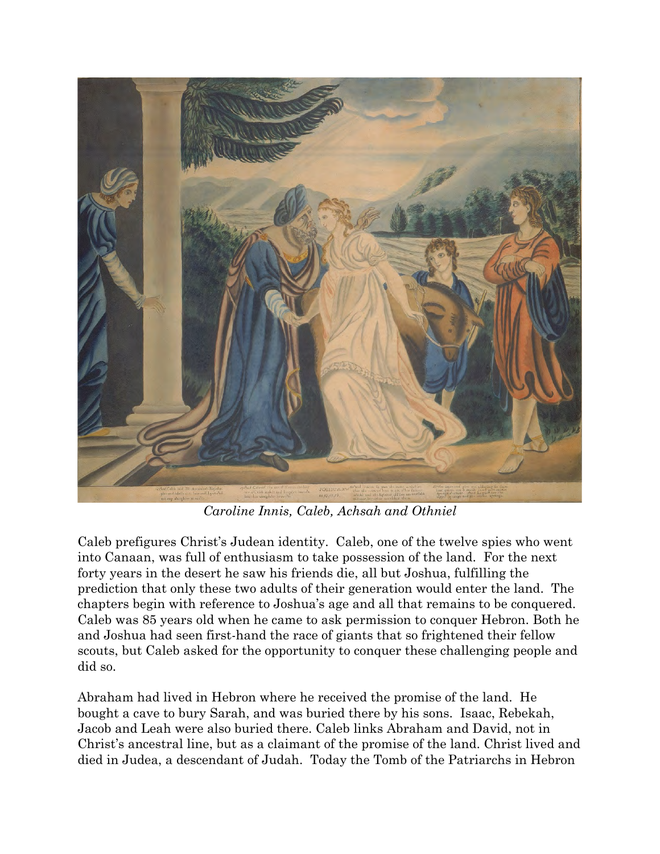

*Caroline Innis, Caleb, Achsah and Othniel*

Caleb prefigures Christ's Judean identity. Caleb, one of the twelve spies who went into Canaan, was full of enthusiasm to take possession of the land. For the next forty years in the desert he saw his friends die, all but Joshua, fulfilling the prediction that only these two adults of their generation would enter the land. The chapters begin with reference to Joshua's age and all that remains to be conquered. Caleb was 85 years old when he came to ask permission to conquer Hebron. Both he and Joshua had seen first-hand the race of giants that so frightened their fellow scouts, but Caleb asked for the opportunity to conquer these challenging people and did so.

Abraham had lived in Hebron where he received the promise of the land. He bought a cave to bury Sarah, and was buried there by his sons. Isaac, Rebekah, Jacob and Leah were also buried there. Caleb links Abraham and David, not in Christ's ancestral line, but as a claimant of the promise of the land. Christ lived and died in Judea, a descendant of Judah. Today the Tomb of the Patriarchs in Hebron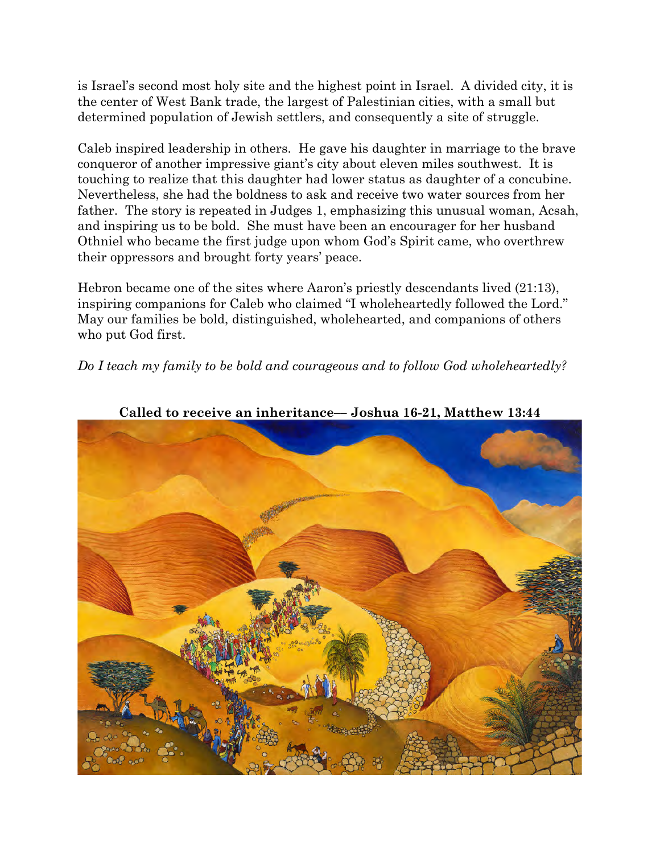is Israel's second most holy site and the highest point in Israel. A divided city, it is the center of West Bank trade, the largest of Palestinian cities, with a small but determined population of Jewish settlers, and consequently a site of struggle.

Caleb inspired leadership in others. He gave his daughter in marriage to the brave conqueror of another impressive giant's city about eleven miles southwest. It is touching to realize that this daughter had lower status as daughter of a concubine. Nevertheless, she had the boldness to ask and receive two water sources from her father. The story is repeated in Judges 1, emphasizing this unusual woman, Acsah, and inspiring us to be bold. She must have been an encourager for her husband Othniel who became the first judge upon whom God's Spirit came, who overthrew their oppressors and brought forty years' peace.

Hebron became one of the sites where Aaron's priestly descendants lived (21:13), inspiring companions for Caleb who claimed "I wholeheartedly followed the Lord." May our families be bold, distinguished, wholehearted, and companions of others who put God first.

*Do I teach my family to be bold and courageous and to follow God wholeheartedly?*



**Called to receive an inheritance–– Joshua 16-21, Matthew 13:44**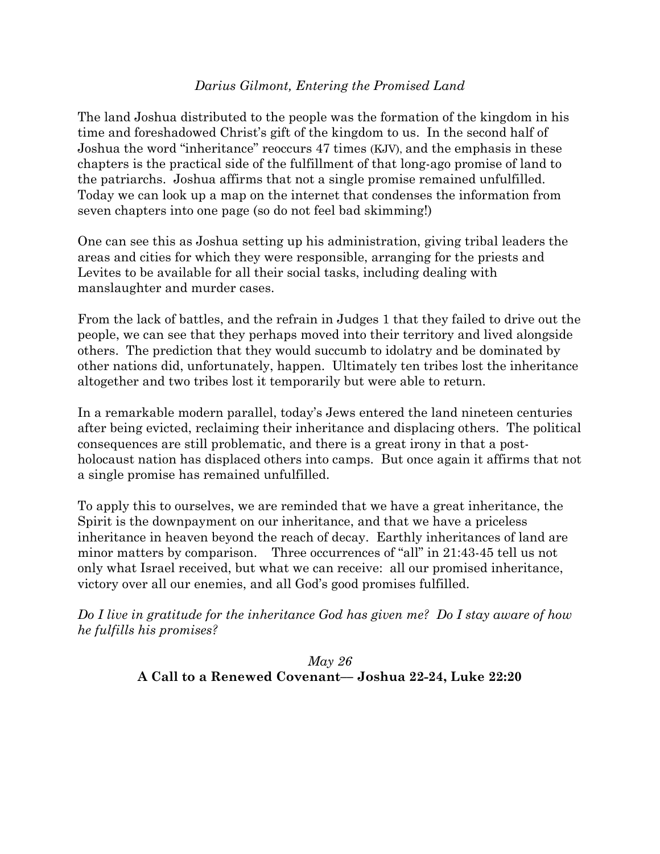#### *Darius Gilmont, Entering the Promised Land*

The land Joshua distributed to the people was the formation of the kingdom in his time and foreshadowed Christ's gift of the kingdom to us. In the second half of Joshua the word "inheritance" reoccurs 47 times (KJV), and the emphasis in these chapters is the practical side of the fulfillment of that long-ago promise of land to the patriarchs. Joshua affirms that not a single promise remained unfulfilled. Today we can look up a map on the internet that condenses the information from seven chapters into one page (so do not feel bad skimming!)

One can see this as Joshua setting up his administration, giving tribal leaders the areas and cities for which they were responsible, arranging for the priests and Levites to be available for all their social tasks, including dealing with manslaughter and murder cases.

From the lack of battles, and the refrain in Judges 1 that they failed to drive out the people, we can see that they perhaps moved into their territory and lived alongside others. The prediction that they would succumb to idolatry and be dominated by other nations did, unfortunately, happen. Ultimately ten tribes lost the inheritance altogether and two tribes lost it temporarily but were able to return.

In a remarkable modern parallel, today's Jews entered the land nineteen centuries after being evicted, reclaiming their inheritance and displacing others. The political consequences are still problematic, and there is a great irony in that a postholocaust nation has displaced others into camps. But once again it affirms that not a single promise has remained unfulfilled.

To apply this to ourselves, we are reminded that we have a great inheritance, the Spirit is the downpayment on our inheritance, and that we have a priceless inheritance in heaven beyond the reach of decay. Earthly inheritances of land are minor matters by comparison. Three occurrences of "all" in 21:43-45 tell us not only what Israel received, but what we can receive: all our promised inheritance, victory over all our enemies, and all God's good promises fulfilled.

*Do I live in gratitude for the inheritance God has given me? Do I stay aware of how he fulfills his promises?*

> *May 26* **A Call to a Renewed Covenant–– Joshua 22-24, Luke 22:20**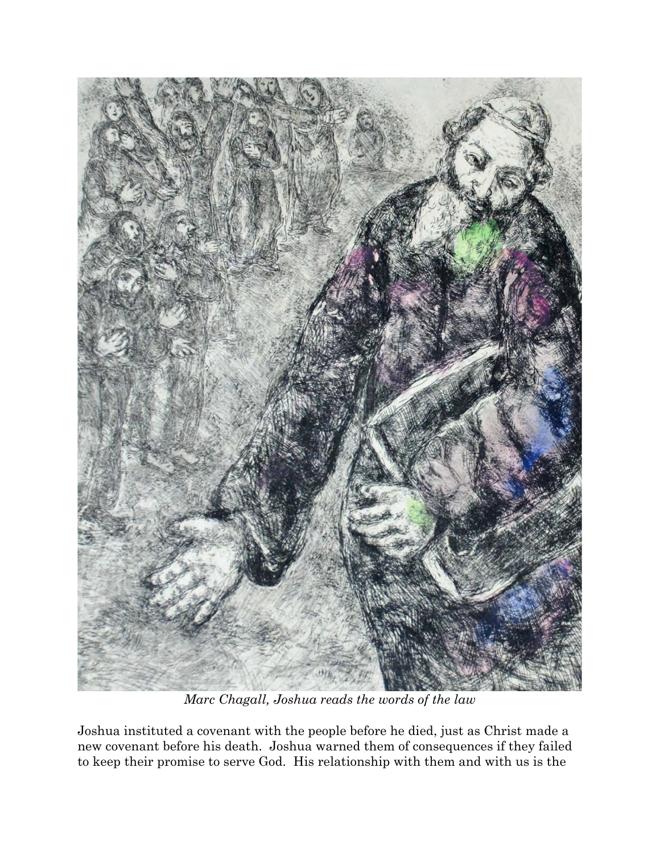

*Marc Chagall, Joshua reads the words of the law*

Joshua instituted a covenant with the people before he died, just as Christ made a new covenant before his death. Joshua warned them of consequences if they failed to keep their promise to serve God. His relationship with them and with us is the